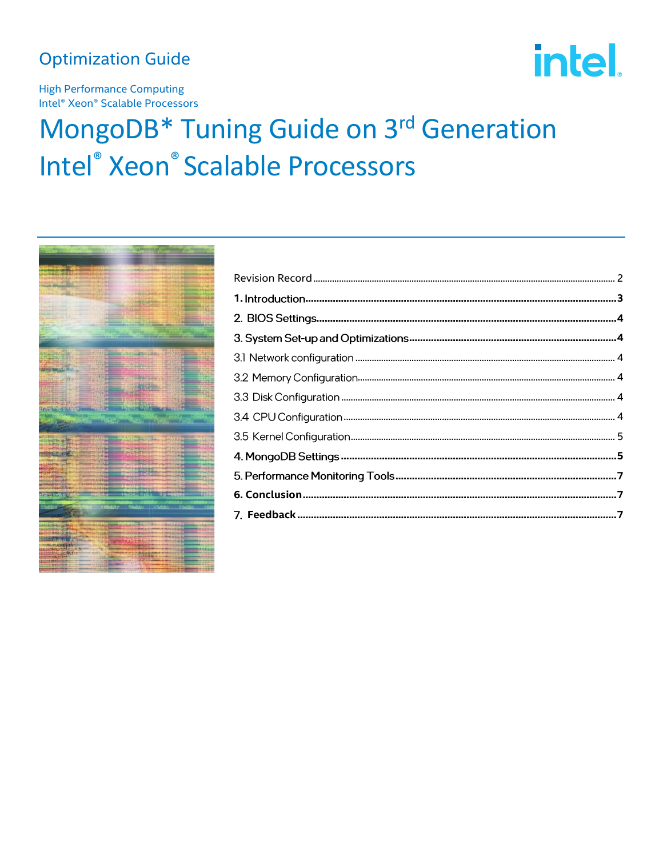## **Optimization Guide**

intel.

**High Performance Computing** Intel<sup>®</sup> Xeon<sup>®</sup> Scalable Processors

# MongoDB\* Tuning Guide on 3rd Generation Intel® Xeon® Scalable Processors

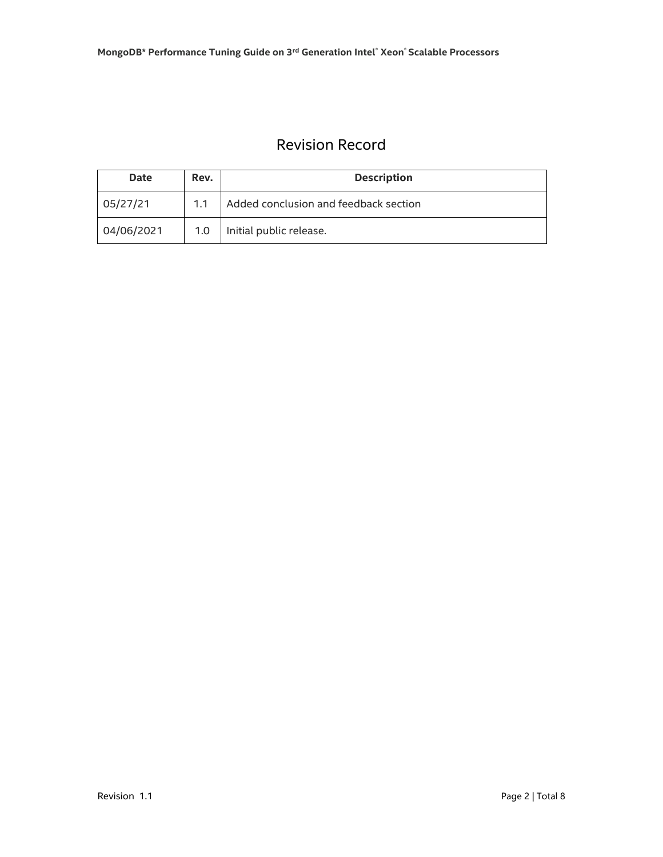## Revision Record

<span id="page-1-0"></span>

| <b>Date</b> | Rev.             | <b>Description</b>                    |
|-------------|------------------|---------------------------------------|
| 05/27/21    | 1.1              | Added conclusion and feedback section |
| 04/06/2021  | 1.0 <sub>1</sub> | Initial public release.               |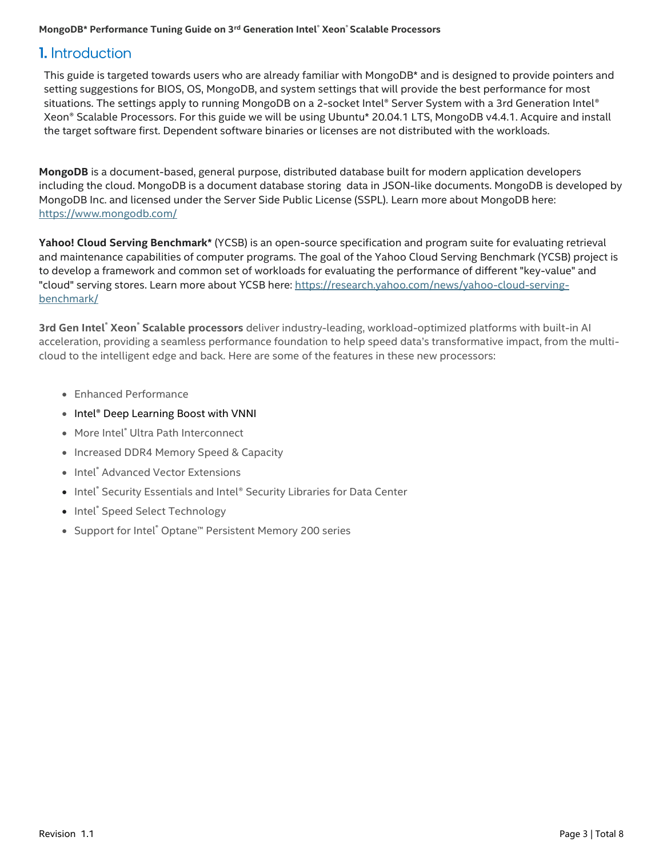#### **MongoDB\* Performance Tuning Guide on 3rd Generation Intel® Xeon® Scalable Processors**

## <span id="page-2-0"></span>**1.** Introduction

This guide is targeted towards users who are already familiar with MongoDB\* and is designed to provide pointers and setting suggestions for BIOS, OS, MongoDB, and system settings that will provide the best performance for most situations. The settings apply to running MongoDB on a 2-socket Intel® Server System with a 3rd Generation Intel® Xeon® Scalable Processors. For this guide we will be using Ubuntu\* 20.04.1 LTS, MongoDB v4.4.1. Acquire and install the target software first. Dependent software binaries or licenses are not distributed with the workloads.

**MongoDB** is a document-based, general purpose, distributed database built for modern application developers including the cloud. MongoDB is a document database storing data in JSON-like documents. MongoDB is developed by MongoDB Inc. and licensed under the Server Side Public License (SSPL). Learn more about MongoDB here: <https://www.mongodb.com/>

**Yahoo! Cloud Serving Benchmark\*** (YCSB) is an open-source specification and program suite for evaluating retrieval and maintenance capabilities of computer programs. The goal of the Yahoo Cloud Serving Benchmark (YCSB) project is to develop a framework and common set of workloads for evaluating the performance of different "key-value" and "cloud" serving stores. Learn more about YCSB here: [https://research.yahoo.com/news/yahoo-cloud-serving](https://research.yahoo.com/news/yahoo-cloud-serving-benchmark/)[benchmark/](https://research.yahoo.com/news/yahoo-cloud-serving-benchmark/)

**3rd Gen Intel**® **Xeon**® **Scalable processors** deliver industry-leading, workload-optimized platforms with built-in AI acceleration, providing a seamless performance foundation to help speed data's transformative impact, from the multicloud to the intelligent edge and back. Here are some of the features in these new processors:

- Enhanced Performance
- Intel® Deep Learning Boost with VNNI
- More Intel<sup>®</sup> Ultra Path Interconnect
- Increased DDR4 Memory Speed & Capacity
- Intel<sup>®</sup> Advanced Vector Extensions
- Intel® Security Essentials and Intel® Security Libraries for Data Center
- Intel® Speed Select Technology
- Support for Intel® Optane™ Persistent Memory 200 series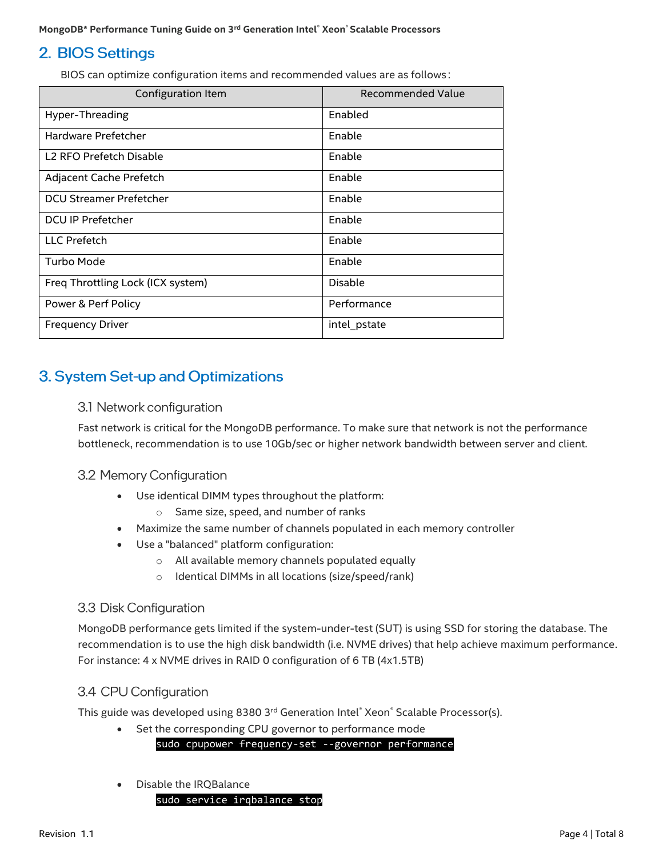## <span id="page-3-0"></span>2. BIOS Settings

BIOS can optimize configuration items and recommended values are as follows:

| Configuration Item                  | Recommended Value |
|-------------------------------------|-------------------|
| Hyper-Threading                     | Enabled           |
| Hardware Prefetcher                 | Enable            |
| L <sub>2</sub> RFO Prefetch Disable | Enable            |
| Adjacent Cache Prefetch             | Enable            |
| <b>DCU Streamer Prefetcher</b>      | Enable            |
| <b>DCU IP Prefetcher</b>            | Enable            |
| <b>LLC</b> Prefetch                 | Enable            |
| Turbo Mode                          | Enable            |
| Freq Throttling Lock (ICX system)   | Disable           |
| Power & Perf Policy                 | Performance       |
| <b>Frequency Driver</b>             | intel_pstate      |

## <span id="page-3-2"></span><span id="page-3-1"></span>3. System Set-up and Optimizations

## 3.1 Network configuration

Fast network is critical for the MongoDB performance. To make sure that network is not the performance bottleneck, recommendation is to use 10Gb/sec or higher network bandwidth between server and client.

## <span id="page-3-3"></span>3.2 Memory Configuration

- Use identical DIMM types throughout the platform:
	- o Same size, speed, and number of ranks
- Maximize the same number of channels populated in each memory controller
- Use a "balanced" platform configuration:
	- o All available memory channels populated equally
	- o Identical DIMMs in all locations (size/speed/rank)

## <span id="page-3-4"></span>3.3 Disk Configuration

MongoDB performance gets limited if the system-under-test (SUT) is using SSD for storing the database. The recommendation is to use the high disk bandwidth (i.e. NVME drives) that help achieve maximum performance. For instance: 4 x NVME drives in RAID 0 configuration of 6 TB (4x1.5TB)

## <span id="page-3-5"></span>3.4 CPU Configuration

This guide was developed using 8380 3<sup>rd</sup> Generation Intel® Xeon® Scalable Processor(s).

- Set the corresponding CPU governor to performance mode sudo cpupower frequency-set --governor performance
- Disable the IRQBalance

sudo service irqbalance stop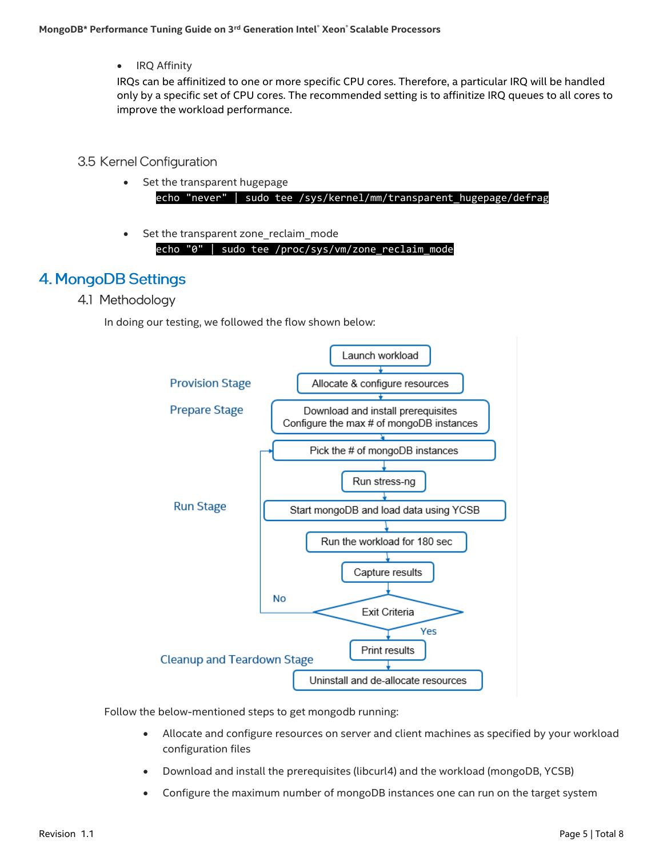• IRQ Affinity

IRQs can be affinitized to one or more specific CPU cores. Therefore, a particular IRQ will be handled only by a specific set of CPU cores. The recommended setting is to affinitize IRQ queues to all cores to improve the workload performance.

## <span id="page-4-0"></span>3.5 Kernel Configuration

- Set the transparent hugepage echo "never" | sudo tee /sys/kernel/mm/transparent\_hugepage/defrag
- Set the transparent zone reclaim mode

echo "0" | sudo tee /proc/sys/vm/zone\_reclaim\_mode

## <span id="page-4-1"></span>4. MongoDB Settings

4.1 Methodology

In doing our testing, we followed the flow shown below:



Follow the below-mentioned steps to get mongodb running:

- Allocate and configure resources on server and client machines as specified by your workload configuration files
- Download and install the prerequisites (libcurl4) and the workload (mongoDB, YCSB)
- Configure the maximum number of mongoDB instances one can run on the target system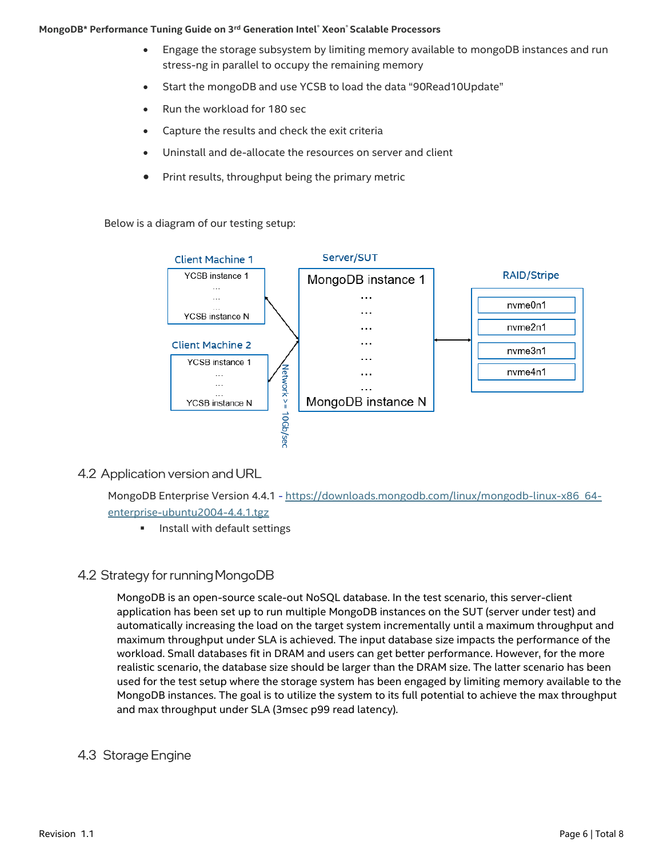#### **MongoDB\* Performance Tuning Guide on 3rd Generation Intel® Xeon® Scalable Processors**

- Engage the storage subsystem by limiting memory available to mongoDB instances and run stress-ng in parallel to occupy the remaining memory
- Start the mongoDB and use YCSB to load the data "90Read10Update"
- Run the workload for 180 sec
- Capture the results and check the exit criteria
- Uninstall and de-allocate the resources on server and client
- Print results, throughput being the primary metric

Below is a diagram of our testing setup:



## 4.2 Application version and URL

MongoDB Enterprise Version 4.4.1 - [https://downloads.mongodb.com/linux/mongodb-linux-x86\\_64](https://downloads.mongodb.com/linux/mongodb-linux-x86_64-enterprise-ubuntu2004-4.4.1.tgz) [enterprise-ubuntu2004-4.4.1.tgz](https://downloads.mongodb.com/linux/mongodb-linux-x86_64-enterprise-ubuntu2004-4.4.1.tgz)

**■** Install with default settings

## 4.2 Strategy for running MongoDB

MongoDB is an open-source scale-out NoSQL database. In the test scenario, this server-client application has been set up to run multiple MongoDB instances on the SUT (server under test) and automatically increasing the load on the target system incrementally until a maximum throughput and maximum throughput under SLA is achieved. The input database size impacts the performance of the workload. Small databases fit in DRAM and users can get better performance. However, for the more realistic scenario, the database size should be larger than the DRAM size. The latter scenario has been used for the test setup where the storage system has been engaged by limiting memory available to the MongoDB instances. The goal is to utilize the system to its full potential to achieve the max throughput and max throughput under SLA (3msec p99 read latency).

## 4.3 Storage Engine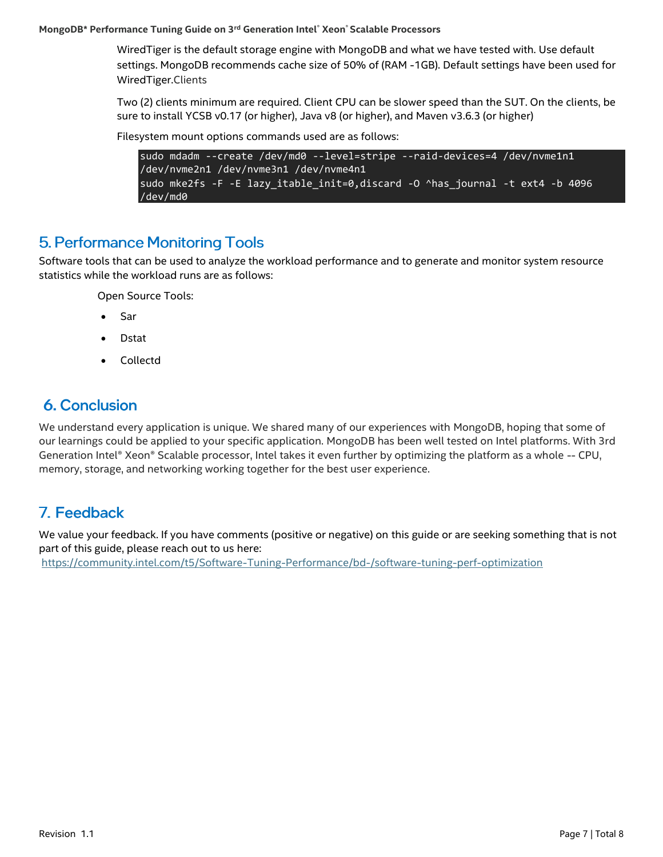#### **MongoDB\* Performance Tuning Guide on 3rd Generation Intel® Xeon® Scalable Processors**

WiredTiger is the default storage engine with MongoDB and what we have tested with. Use default settings. MongoDB recommends cache size of 50% of (RAM -1GB). Default settings have been used for WiredTiger.Clients

Two (2) clients minimum are required. Client CPU can be slower speed than the SUT. On the clients, be sure to install YCSB v0.17 (or higher), Java v8 (or higher), and Maven v3.6.3 (or higher)

Filesystem mount options commands used are as follows:

```
sudo mdadm --create /dev/md0 --level=stripe --raid-devices=4 /dev/nvme1n1 
/dev/nvme2n1 /dev/nvme3n1 /dev/nvme4n1
sudo mke2fs -F -E lazy_itable_init=0,discard -O ^has_journal -t ext4 -b 4096 
/dev/md0
```
## <span id="page-6-0"></span>**5. Performance Monitoring Tools**

Software tools that can be used to analyze the workload performance and to generate and monitor system resource statistics while the workload runs are as follows:

Open Source Tools:

- Sar
- Dstat
- Collectd

## <span id="page-6-1"></span>**6. Conclusion**

We understand every application is unique. We shared many of our experiences with MongoDB, hoping that some of our learnings could be applied to your specific application. MongoDB has been well tested on Intel platforms. With 3rd Generation Intel® Xeon® Scalable processor, Intel takes it even further by optimizing the platform as a whole -- CPU, memory, storage, and networking working together for the best user experience.

## <span id="page-6-2"></span>7. Feedback

We value your feedback. If you have comments (positive or negative) on this guide or are seeking something that is not part of this guide, please reach out to us [here:](https://community.intel.com/t5/Software-Tuning-Performance/bd-p/software-tuning-perf-optimization)

<https://community.intel.com/t5/Software-Tuning-Performance/bd-/software-tuning-perf-optimization>